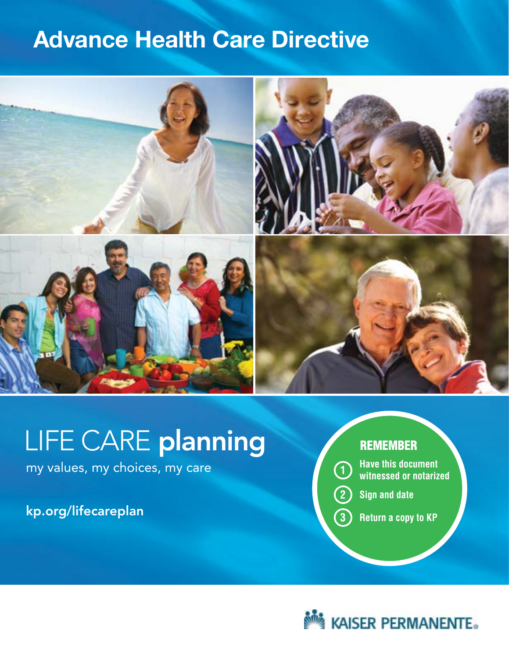# **Advance Health Care Directive**



# LIFE CARE planning

my values, my choices, my care

kp.org/lifecareplan

### **REMEMBER**

**<sup>1</sup> Have this document witnessed or notarized**

**2 Sign and date**

**3 Return a copy to KP** 

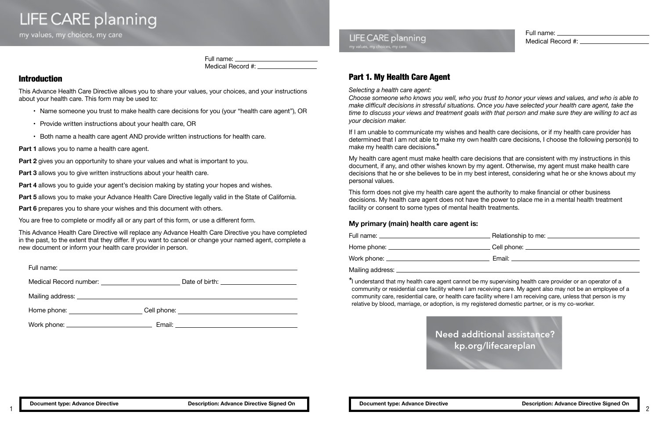**LIFE CARE planning** my values, my choices, my care

> Full name: Medical Record #:  $\_\_$

# Part 1. My Health Care Agent

*Selecting a health care agent:*

*Choose someone who knows you well, who you trust to honor your views and values, and who is able to make difficult decisions in stressful situations. Once you have selected your health care agent, take the time to discuss your views and treatment goals with that person and make sure they are willing to act as your decision maker.*

If I am unable to communicate my wishes and health care decisions, or if my health care provider has determined that I am not able to make my own health care decisions, I choose the following person(s) to make my health care decisions.\*

My health care agent must make health care decisions that are consistent with my instructions in this document, if any, and other wishes known by my agent. Otherwise, my agent must make health care decisions that he or she believes to be in my best interest, considering what he or she knows about my personal values.

- Name someone you trust to make health care decisions for you (your "health care agent"), OR
- Provide written instructions about your health care, OR
- Both name a health care agent AND provide written instructions for health care.
- **Part 1** allows you to name a health care agent.

This form does not give my health care agent the authority to make financial or other business decisions. My health care agent does not have the power to place me in a mental health treatment facility or consent to some types of mental health treatments.

### **My primary (main) health care agent is:**

| Full name: ____________________________       |                                      |
|-----------------------------------------------|--------------------------------------|
| Home phone: <u>__________________________</u> | Cell phone: ________________________ |
|                                               |                                      |
|                                               |                                      |

\*I understand that my health care agent cannot be my supervising health care provider or an operator of a community or residential care facility where I am receiving care. My agent also may not be an employee of a community care, residential care, or health care facility where I am receiving care, unless that person is my relative by blood, marriage, or adoption, is my registered domestic partner, or is my co-worker.

### Introduction

This Advance Health Care Directive allows you to share your values, your choices, and your instructions about your health care. This form may be used to:

**Part 2** gives you an opportunity to share your values and what is important to you.

**Part 3** allows you to give written instructions about your health care.

**Part 4** allows you to quide your agent's decision making by stating your hopes and wishes.

**Part 5** allows you to make your Advance Health Care Directive legally valid in the State of California.

**Part 6** prepares you to share your wishes and this document with others.

You are free to complete or modify all or any part of this form, or use a different form.

This Advance Health Care Directive will replace any Advance Health Care Directive you have completed in the past, to the extent that they differ. If you want to cancel or change your named agent, complete a new document or inform your health care provider in person.

| Medical Record number: Next and Second number. | Date of birth: the contract of the contract of the contract of the contract of the contract of the contract of the contract of the contract of the contract of the contract of the contract of the contract of the contract of |
|------------------------------------------------|--------------------------------------------------------------------------------------------------------------------------------------------------------------------------------------------------------------------------------|
|                                                |                                                                                                                                                                                                                                |
|                                                |                                                                                                                                                                                                                                |
| Home phone:                                    | Cell phone:                                                                                                                                                                                                                    |

Full name:

Work phone: Email:

**LIFE CARE planning** 



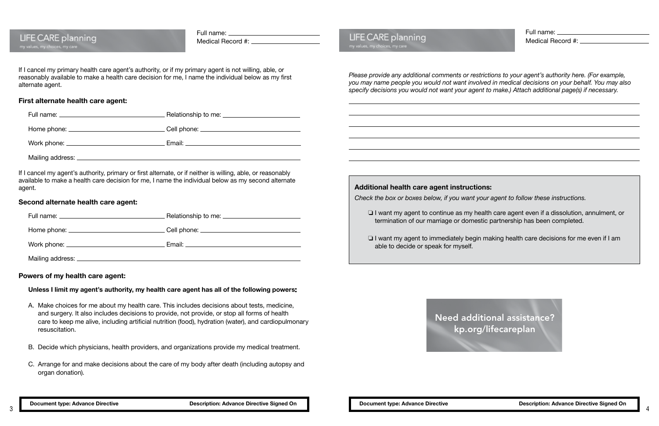Full name:

| LIFE CARE planning<br>my values, my choices, my care | Medical Record #: _______________________                                                                                                                                                                    | LIFE CARE planning<br>my values, my choices, my care                                                                                       |
|------------------------------------------------------|--------------------------------------------------------------------------------------------------------------------------------------------------------------------------------------------------------------|--------------------------------------------------------------------------------------------------------------------------------------------|
| alternate agent.                                     | If I cancel my primary health care agent's authority, or if my primary agent is not willing, able, or<br>reasonably available to make a health care decision for me, I name the individual below as my first | Please provide any additional comments or re<br>you may name people you would not want inv<br>specify decisions you would not want your ag |
| First alternate health care agent:                   |                                                                                                                                                                                                              |                                                                                                                                            |
|                                                      | Relationship to me: <u>_________________________</u>                                                                                                                                                         |                                                                                                                                            |
|                                                      |                                                                                                                                                                                                              |                                                                                                                                            |
|                                                      |                                                                                                                                                                                                              | <u> 1989 - Johann Stoff, deutscher Stoff, der Stoff, der Stoff, der Stoff, der Stoff, der Stoff, der Stoff, der S</u>                      |
|                                                      |                                                                                                                                                                                                              |                                                                                                                                            |
|                                                      | If I cancel my agent's authority, primary or first alternate, or if neither is willing, able, or reasonably                                                                                                  |                                                                                                                                            |
| agent.                                               | available to make a health care decision for me, I name the individual below as my second alternate                                                                                                          | Additional health care agent instruct                                                                                                      |
| Second alternate health care agent:                  |                                                                                                                                                                                                              | Check the box or boxes below, if you want                                                                                                  |
|                                                      | Relationship to me: <u>_________________________________</u>                                                                                                                                                 | $\Box$ I want my agent to continue as my<br>termination of our marriage or dom                                                             |
|                                                      |                                                                                                                                                                                                              |                                                                                                                                            |
|                                                      |                                                                                                                                                                                                              | $\Box$ I want my agent to immediately beg<br>able to decide or speak for myself.                                                           |
|                                                      |                                                                                                                                                                                                              |                                                                                                                                            |

### **Powers of my health care agent:**

 $\frac{1}{2}$ 

### **Unless I limit my agent's authority, my health care agent has all of the following powers**

- A. Make choices for me about my health care. This includes decisions about tests, medicine, and surgery. It also includes decisions to provide, not provide, or stop all forms of health care to keep me alive, including artificial nutrition (food), hydration (water), and cardiopulmonary resuscitation.
- B. Decide which physicians, health providers, and organizations provide my medical treatment.
- C. Arrange for and make decisions about the care of my body after death (including autopsy and organ donation).

*Please provide any additional comments or restrictions to your agent's authority here. (For example, you may name people you would not want involved in medical decisions on your behalf. You may also specify decisions you would not want your agent to make.) Attach additional page(s) if necessary.* 

### **structions:**

*Check the box or boxes below, if you want your agent to follow these instructions.*

is my health care agent even if a dissolution, annulment, or domestic partnership has been completed.

Iy begin making health care decisions for me even if I am

Need additional assistance? kp.org/lifecareplan

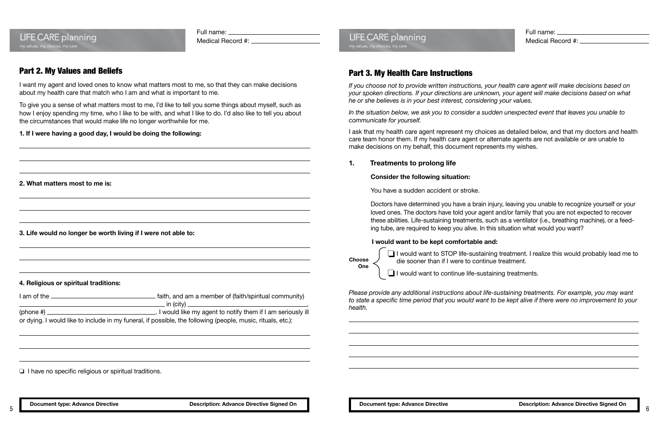### **LIFE CARE planning** my values, my choices, my care

Full name:

Medical Record #:

### Part 2. My Values and Beliefs

I want my agent and loved ones to know what matters most to me, so that they can make decisions about my health care that match who I am and what is important to me.

To give you a sense of what matters most to me, I'd like to tell you some things about myself, such as how I enjoy spending my time, who I like to be with, and what I like to do. I'd also like to tell you about the circumstances that would make life no longer worthwhile for me.

### **1. If I were having a good day, I would be doing the following:**

**2. What matters most to me is:**

**3. Life would no longer be worth living if I were not able to:**

#### **4. Religious or spiritual traditions:**

| I am of the        | faith, and am a member of (faith/spiritual community)                                                       |
|--------------------|-------------------------------------------------------------------------------------------------------------|
|                    | __ in (city) ___________________                                                                            |
| (phone #) $\equiv$ | I would like my agent to notify them if I am seriously ill                                                  |
|                    | or dying. I would like to include in my funeral, if possible, the following (people, music, rituals, etc.): |

❏ I have no specific religious or spiritual traditions.

### **LIFE CARE planning** my values, my choices, my care

## Part 3. My Health Care Instructions

*If you choose not to provide written instructions, your health care agent will make decisions based on your spoken directions. If your directions are unknown, your agent will make decisions based on what he or she believes is in your best interest, considering your values.*

*In the situation below, we ask you to consider a sudden unexpected event that leaves you unable to communicate for yourself.* 

I ask that my health care agent represent my choices as detailed below, and that my doctors and health care team honor them. If my health care agent or alternate agents are not available or are unable to make decisions on my behalf, this document represents my wishes.

### **1. Treatments to prolong life**

### **Consider the following situation:**

You have a sudden accident or stroke.

Doctors have determined you have a brain injury, leaving you unable to recognize yourself or your loved ones. The doctors have told your agent and/or family that you are not expected to recover these abilities. Life-sustaining treatments, such as a ventilator (i.e., breathing machine), or a feeding tube, are required to keep you alive. In this situation what would you want?

### **I would want to be kept comfortable and:**

❏ I would want to STOP life-sustaining treatment. I realize this would probably lead me to die sooner than if I were to continue treatment.

❏ I would want to continue life-sustaining treatments.

*Please provide any additional instructions about life-sustaining treatments. For example, you may want to state a specific time period that you would want to be kept alive if there were no improvement to your health.*



**Choose One**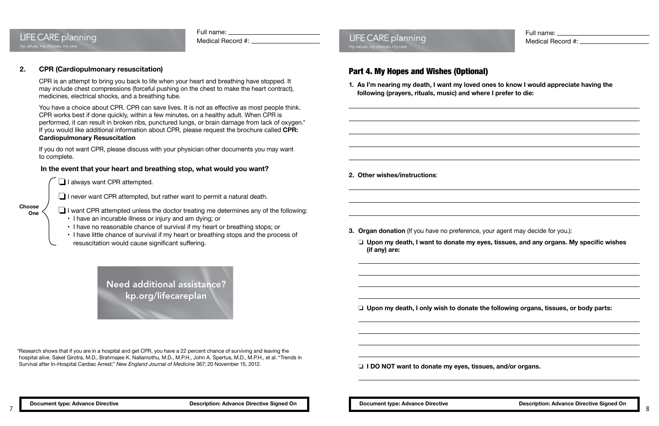#### Full name:

Medical Record #:

## **2. CPR (Cardiopulmonary resuscitation)**

**LIFE CARE planning** 

my values, my choices, my care

CPR is an attempt to bring you back to life when your heart and breathing have stopped. It may include chest compressions (forceful pushing on the chest to make the heart contract), medicines, electrical shocks, and a breathing tube.

You have a choice about CPR. CPR can save lives. It is not as effective as most people think. CPR works best if done quickly, within a few minutes, on a healthy adult. When CPR is performed, it can result in broken ribs, punctured lungs, or brain damage from lack of oxygen.\* If you would like additional information about CPR, please request the brochure called **CPR: Cardiopulmonary Resuscitation**

If you do not want CPR, please discuss with your physician other documents you may want to complete.

### **In the event that your heart and breathing stop, what would you want?**

❏ I always want CPR attempted.

❏ I never want CPR attempted, but rather want to permit a natural death.

❏ I want CPR attempted unless the doctor treating me determines any of the following:

- I have an incurable illness or injury and am dying; or
- I have no reasonable chance of survival if my heart or breathing stops; or
- I have little chance of survival if my heart or breathing stops and the process of resuscitation would cause significant suffering.

# Part 4. My Hopes and Wishes (Optional)

**1. As I'm nearing my death, I want my loved ones to know I would appreciate having the following (prayers, rituals, music) and where I prefer to die:**

**2. Other wishes/instructions**:

**3. Organ donation** (If you have no preference, your agent may decide for you.):

### ❏ **Upon my death, I want to donate my eyes, tissues, and any organs. My specific wishes**

**(if any) are:** 

❏ **Upon my death, I only wish to donate the following organs, tissues, or body parts:**

❏ **I DO NOT want to donate my eyes, tissues, and/or organs.**

**Choose One**

\*Research shows that if you are in a hospital and get CPR, you have a 22 percent chance of surviving and leaving the hospital alive. Saket Girotra, M.D., Brahmajee K. Nallamothu, M.D., M.P.H., John A. Spertus, M.D., M.P.H., et al. "Trends in Survival after In-Hospital Cardiac Arrest;" *New England Journal of Medicine* 367; 20 November 15, 2012.

Need additional assistance? kp.org/lifecareplan

**LIFE CARE planning** my values, my choices, my care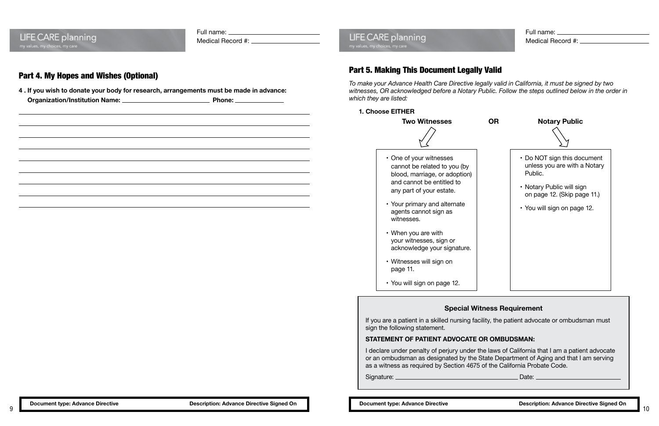**LIFE CARE planning** 

Full name:

Medical Record #:

## Part 4. My Hopes and Wishes (Optional)

**4 . If you wish to donate your body for research, arrangements must be made in advance: Organization/Institution Name: Phone:** 

# **LIFE CARE planning**

### Part 5. Making This Document Legally Valid

*To make your Advance Health Care Directive legally valid in California, it must be signed by two witnesses, OR acknowledged before a Notary Public. Follow the steps outlined below in the order in which they are listed:*

### **1. Choose EITHER**



- One of your witnesses cannot be related to you (by blood, marriage, or adoption) and cannot be entitled to any part of your estate.
- Your primary and alternate agents cannot sign as witnesses.
- When you are with your witnesses, sign or acknowledge your signature.
- Witnesses will sign on page 11.
- You will sign on page 12.



### **Special Witness Requirement**

If you are a patient in a skilled nursing facility, the patient advocate or ombudsman must sign the following statement.

### **STATEMENT OF PATIENT ADVOCATE OR OMBUDSMAN:**

I declare under penalty of perjury under the laws of California that I am a patient advocate or an ombudsman as designated by the State Department of Aging and that I am serving as a witness as required by Section 4675 of the California Probate Code.



Signature: Date: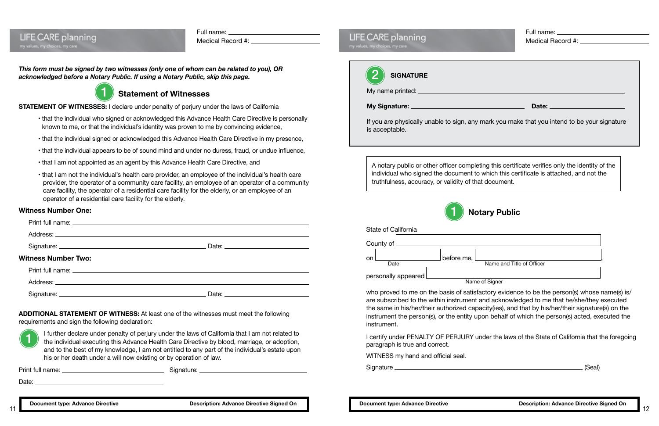| LIFE CARE planning             |  |
|--------------------------------|--|
|                                |  |
| my values, my choices, my care |  |

| Full name: |  |
|------------|--|
|------------|--|

Medical Record #:

### *This form must be signed by two witnesses (only one of whom can be related to you), OR acknowledged before a Notary Public. If using a Notary Public, skip this page.*

### **Statement of Witnesses**

**STATEMENT OF WITNESSES:** I declare under penalty of perjury under the laws of California

- that the individual who signed or acknowledged this Advance Health Care Directive is personally known to me, or that the individual's identity was proven to me by convincing evidence,
- that the individual signed or acknowledged this Advance Health Care Directive in my presence,
- that the individual appears to be of sound mind and under no duress, fraud, or undue influence,
- that I am not appointed as an agent by this Advance Health Care Directive, and
- that I am not the individual's health care provider, an employee of the individual's health care provider, the operator of a community care facility, an employee of an operator of a community care facility, the operator of a residential care facility for the elderly, or an employee of an operator of a residential care facility for the elderly.

### **Witness Number One:**

who proved to me on the basis of satisfactory evidence to be the person(s) whose name(s) is/ are subscribed to the within instrument and acknowledged to me that he/she/they executed the same in his/her/their authorized capacity(ies), and that by his/her/their signature(s) on the instrument the person(s), or the entity upon behalf of which the person(s) acted, executed the instrument.

| <b>Witness Number Two:</b> |                     |  |
|----------------------------|---------------------|--|
|                            |                     |  |
|                            |                     |  |
|                            | Date: $\frac{1}{2}$ |  |

**ADDITIONAL STATEMENT OF WITNESS:** At least one of the witnesses must meet the following requirements and sign the following declaration:

| <b>CARE</b> planning<br>my choices, my care                                                                                                                                                                                                      | Medical Record #: |
|--------------------------------------------------------------------------------------------------------------------------------------------------------------------------------------------------------------------------------------------------|-------------------|
| <b>SIGNATURE</b>                                                                                                                                                                                                                                 |                   |
|                                                                                                                                                                                                                                                  |                   |
|                                                                                                                                                                                                                                                  |                   |
| If you are physically unable to sign, any mark you make that you intend to be your signature<br>is acceptable.                                                                                                                                   |                   |
| A notary public or other officer completing this certificate verifies only the identity of the<br>individual who signed the document to which this certificate is attached, and not the<br>truthfulness, accuracy, or validity of that document. |                   |
| <b>Notary Public</b>                                                                                                                                                                                                                             |                   |
| State of California                                                                                                                                                                                                                              |                   |
|                                                                                                                                                                                                                                                  |                   |

of Signer

Signature (Seal)

I further declare under penalty of perjury under the laws of California that I am not related to the individual executing this Advance Health Care Directive by blood, marriage, or adoption, and to the best of my knowledge, I am not entitled to any part of the individual's estate upon his or her death under a will now existing or by operation of law.

Print full name: Signature:

Date:

| State of California   |            |                           |
|-----------------------|------------|---------------------------|
| County of             |            |                           |
| on.<br>Date           | before me, | Name and Title of Officer |
| personally appeared [ |            |                           |
|                       |            | Name of Signer            |



I certify under PENALTY OF PERJURY under the laws of the State of California that the foregoing paragraph is true and correct.

WITNESS my hand and official seal.

| иеs, my choices, my care                                                                                                                                                                            |
|-----------------------------------------------------------------------------------------------------------------------------------------------------------------------------------------------------|
|                                                                                                                                                                                                     |
| <b>SIGNATURE</b>                                                                                                                                                                                    |
| My name printed:                                                                                                                                                                                    |
| <b>My Signature:</b><br>Date:                                                                                                                                                                       |
| If you are physically unable to sign, any mark you make that you                                                                                                                                    |
| is acceptable.                                                                                                                                                                                      |
|                                                                                                                                                                                                     |
|                                                                                                                                                                                                     |
| A notary public or other officer completing this certificate verifies<br>individual who signed the document to which this certificate is a<br>truthfulness, accuracy, or validity of that document. |

**LIFE CARE planning** 



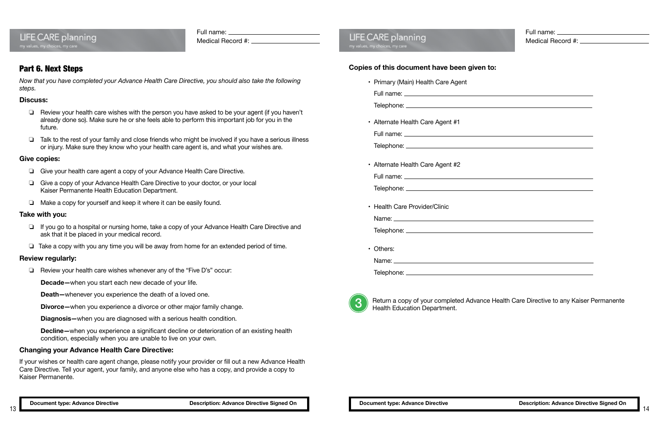# **LIFE CARE planning**

Full name:

Medical Record #:

Full name: Medical Record #:

| <u> 1989 - Johann Barn, amerikansk politiker (d. 1989)</u>                 |  |
|----------------------------------------------------------------------------|--|
|                                                                            |  |
|                                                                            |  |
|                                                                            |  |
|                                                                            |  |
|                                                                            |  |
|                                                                            |  |
|                                                                            |  |
|                                                                            |  |
|                                                                            |  |
|                                                                            |  |
|                                                                            |  |
|                                                                            |  |
|                                                                            |  |
|                                                                            |  |
| <u> 1989 - Johann Stein, mars an deus Amerikaansk kommunister (* 1958)</u> |  |
|                                                                            |  |
|                                                                            |  |
|                                                                            |  |
|                                                                            |  |
|                                                                            |  |
|                                                                            |  |
|                                                                            |  |
|                                                                            |  |
|                                                                            |  |
|                                                                            |  |
|                                                                            |  |
|                                                                            |  |
|                                                                            |  |
|                                                                            |  |
|                                                                            |  |
|                                                                            |  |
|                                                                            |  |
|                                                                            |  |
|                                                                            |  |
|                                                                            |  |
|                                                                            |  |
|                                                                            |  |
|                                                                            |  |
|                                                                            |  |
|                                                                            |  |
|                                                                            |  |
|                                                                            |  |
|                                                                            |  |

### **Copies of this document have been given to:**

• Primary (Main) Health Care Agent Full name:

Telephone:

• Alternate Health Care Agent #1

Full name:

Telephone:

• Alternate Health Care Agent #2 Full name:

Telephone:

• Health Care Provider/Clinic Name:

Telephone:

• Others:

Name:

Telephone:

Return a copy of your completed Advance Health Care Directive to any Kaiser Permanente Health Education Department.

### Part 6. Next Steps

*Now that you have completed your Advance Health Care Directive, you should also take the following steps.*

### **Discuss:**

- ❏ Review your health care wishes with the person you have asked to be your agent (if you haven't already done so). Make sure he or she feels able to perform this important job for you in the future.
- ❏ Talk to the rest of your family and close friends who might be involved if you have a serious illness or injury. Make sure they know who your health care agent is, and what your wishes are.

### **Give copies:**

- ❏ Give your health care agent a copy of your Advance Health Care Directive.
- ❏ Give a copy of your Advance Health Care Directive to your doctor, or your local Kaiser Permanente Health Education Department.
- ❏ Make a copy for yourself and keep it where it can be easily found.

### **Take with you:**

- ❏ If you go to a hospital or nursing home, take a copy of your Advance Health Care Directive and ask that it be placed in your medical record.
- ❏ Take a copy with you any time you will be away from home for an extended period of time.

### **Review regularly:**

❏ Review your health care wishes whenever any of the "Five D's" occur:

**Decade—**when you start each new decade of your life.

**Death—**whenever you experience the death of a loved one.

**Divorce—**when you experience a divorce or other major family change.

**Diagnosis—**when you are diagnosed with a serious health condition.

**Decline—**when you experience a significant decline or deterioration of an existing health condition, especially when you are unable to live on your own.

### **Changing your Advance Health Care Directive:**

If your wishes or health care agent change, please notify your provider or fill out a new Advance Health Care Directive. Tell your agent, your family, and anyone else who has a copy, and provide a copy to Kaiser Permanente.

# **LIFE CARE planning**